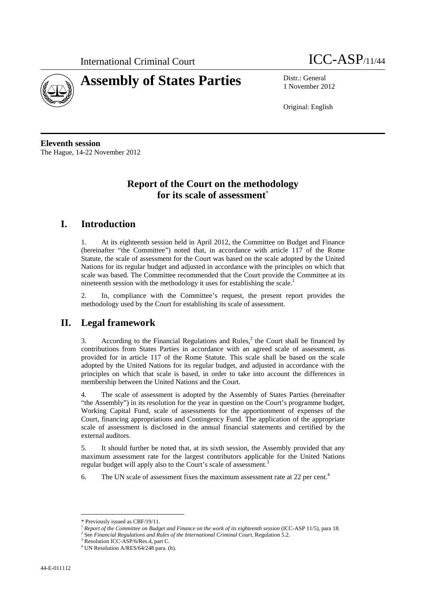



1 November 2012

Original: English

**Eleventh session**  The Hague, 14-22 November 2012

# **Report of the Court on the methodology for its scale of assessment**\*

# **I. Introduction**

1. At its eighteenth session held in April 2012, the Committee on Budget and Finance (hereinafter "the Committee") noted that, in accordance with article 117 of the Rome Statute, the scale of assessment for the Court was based on the scale adopted by the United Nations for its regular budget and adjusted in accordance with the principles on which that scale was based. The Committee recommended that the Court provide the Committee at its nineteenth session with the methodology it uses for establishing the scale.<sup>1</sup>

2. In, compliance with the Committee's request, the present report provides the methodology used by the Court for establishing its scale of assessment.

#### **II. Legal framework**

3. According to the Financial Regulations and Rules, $<sup>2</sup>$  the Court shall be financed by</sup> contributions from States Parties in accordance with an agreed scale of assessment, as provided for in article 117 of the Rome Statute. This scale shall be based on the scale adopted by the United Nations for its regular budget, and adjusted in accordance with the principles on which that scale is based, in order to take into account the differences in membership between the United Nations and the Court.

4. The scale of assessment is adopted by the Assembly of States Parties (hereinafter "the Assembly") in its resolution for the year in question on the Court's programme budget, Working Capital Fund, scale of assessments for the apportionment of expenses of the Court, financing appropriations and Contingency Fund. The application of the appropriate scale of assessment is disclosed in the annual financial statements and certified by the external auditors.

5. It should further be noted that, at its sixth session, the Assembly provided that any maximum assessment rate for the largest contributors applicable for the United Nations regular budget will apply also to the Court's scale of assessment.<sup>3</sup>

6. The UN scale of assessment fixes the maximum assessment rate at 22 per cent.<sup>4</sup>

 $\overline{a}$ 

<sup>\*</sup> Previously issued as CBF/19/11.

<sup>&</sup>lt;sup>1</sup> Report of the Committee on Budget and Finance on the work of its eighteenth session (ICC-ASP 11/5), para 18.

<sup>&</sup>lt;sup>2</sup> See *Financial Regulations and Rules of the International Criminal Court*, Regulation 5.2.<br><sup>3</sup> Regulation ICC, ASD(6/Reg. 4, pert C

Resolution ICC-ASP/6/Res.4, part C.

<sup>4</sup> UN Resolution A/RES/64/248 para. (h).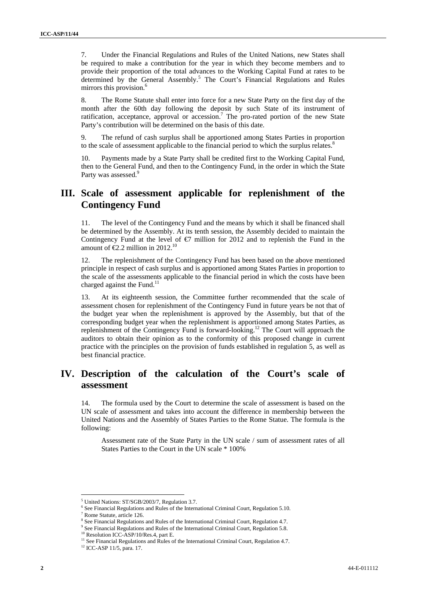7. Under the Financial Regulations and Rules of the United Nations, new States shall be required to make a contribution for the year in which they become members and to provide their proportion of the total advances to the Working Capital Fund at rates to be determined by the General Assembly.<sup>5</sup> The Court's Financial Regulations and Rules mirrors this provision.<sup>6</sup>

8. The Rome Statute shall enter into force for a new State Party on the first day of the month after the 60th day following the deposit by such State of its instrument of ratification, acceptance, approval or accession.<sup>7</sup> The pro-rated portion of the new State Party's contribution will be determined on the basis of this date.

9. The refund of cash surplus shall be apportioned among States Parties in proportion to the scale of assessment applicable to the financial period to which the surplus relates.<sup>8</sup>

10. Payments made by a State Party shall be credited first to the Working Capital Fund, then to the General Fund, and then to the Contingency Fund, in the order in which the State Party was assessed.<sup>9</sup>

#### **III. Scale of assessment applicable for replenishment of the Contingency Fund**

11. The level of the Contingency Fund and the means by which it shall be financed shall be determined by the Assembly. At its tenth session, the Assembly decided to maintain the Contingency Fund at the level of  $\epsilon$ 7 million for 2012 and to replenish the Fund in the amount of  $\epsilon 2.2$  million in 2012.<sup>10</sup>

12. The replenishment of the Contingency Fund has been based on the above mentioned principle in respect of cash surplus and is apportioned among States Parties in proportion to the scale of the assessments applicable to the financial period in which the costs have been charged against the Fund.<sup>11</sup>

13. At its eighteenth session, the Committee further recommended that the scale of assessment chosen for replenishment of the Contingency Fund in future years be not that of the budget year when the replenishment is approved by the Assembly, but that of the corresponding budget year when the replenishment is apportioned among States Parties, as replenishment of the Contingency Fund is forward-looking.<sup>12</sup> The Court will approach the auditors to obtain their opinion as to the conformity of this proposed change in current practice with the principles on the provision of funds established in regulation 5, as well as best financial practice.

# **IV. Description of the calculation of the Court's scale of assessment**

14. The formula used by the Court to determine the scale of assessment is based on the UN scale of assessment and takes into account the difference in membership between the United Nations and the Assembly of States Parties to the Rome Statue. The formula is the following:

Assessment rate of the State Party in the UN scale / sum of assessment rates of all States Parties to the Court in the UN scale \* 100%

 $\overline{a}$ 

<sup>&</sup>lt;sup>5</sup> United Nations: ST/SGB/2003/7, Regulation 3.7.

<sup>&</sup>lt;sup>6</sup> See Financial Regulations and Rules of the International Criminal Court, Regulation 5.10.

<sup>7</sup> Rome Statute, article 126.

<sup>&</sup>lt;sup>8</sup> See Financial Regulations and Rules of the International Criminal Court, Regulation 4.7.

<sup>&</sup>lt;sup>9</sup> See Financial Regulations and Rules of the International Criminal Court, Regulation 5.8. <sup>10</sup> Resolution ICC-ASP/10/Res.4, part E.

<sup>&</sup>lt;sup>11</sup> See Financial Regulations and Rules of the International Criminal Court, Regulation 4.7.

<sup>12</sup> ICC-ASP 11/5, para. 17.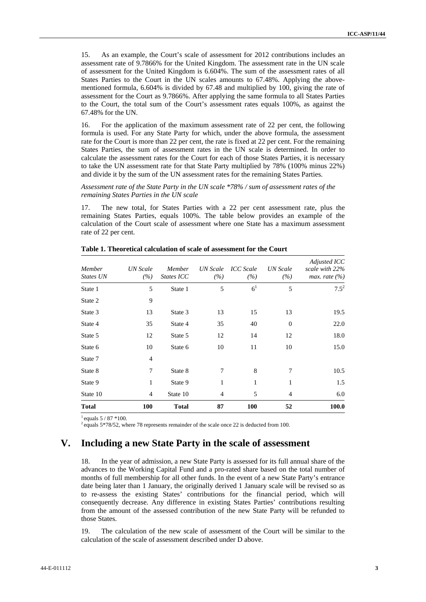15. As an example, the Court's scale of assessment for 2012 contributions includes an assessment rate of 9.7866% for the United Kingdom. The assessment rate in the UN scale of assessment for the United Kingdom is 6.604%. The sum of the assessment rates of all States Parties to the Court in the UN scales amounts to 67.48%. Applying the abovementioned formula, 6.604% is divided by 67.48 and multiplied by 100, giving the rate of assessment for the Court as 9.7866%. After applying the same formula to all States Parties to the Court, the total sum of the Court's assessment rates equals 100%, as against the 67.48% for the UN.

16. For the application of the maximum assessment rate of 22 per cent, the following formula is used. For any State Party for which, under the above formula, the assessment rate for the Court is more than 22 per cent, the rate is fixed at 22 per cent. For the remaining States Parties, the sum of assessment rates in the UN scale is determined. In order to calculate the assessment rates for the Court for each of those States Parties, it is necessary to take the UN assessment rate for that State Party multiplied by 78% (100% minus 22%) and divide it by the sum of the UN assessment rates for the remaining States Parties.

#### *Assessment rate of the State Party in the UN scale \*78% / sum of assessment rates of the remaining States Parties in the UN scale*

17. The new total, for States Parties with a 22 per cent assessment rate, plus the remaining States Parties, equals 100%. The table below provides an example of the calculation of the Court scale of assessment where one State has a maximum assessment rate of 22 per cent.

| Member<br>States UN | UN Scale<br>(%) | Member<br>States ICC | UN Scale<br>(%) | <b>ICC</b> Scale<br>(%) | <b>UN</b> Scale<br>(%) | Adjusted ICC<br>scale with 22%<br>max. rate $(\% )$ |
|---------------------|-----------------|----------------------|-----------------|-------------------------|------------------------|-----------------------------------------------------|
| State 1             | 5               | State 1              | 5               | 6 <sup>1</sup>          | 5                      | $7.5^2$                                             |
| State 2             | 9               |                      |                 |                         |                        |                                                     |
| State 3             | 13              | State 3              | 13              | 15                      | 13                     | 19.5                                                |
| State 4             | 35              | State 4              | 35              | 40                      | $\boldsymbol{0}$       | 22.0                                                |
| State 5             | 12              | State 5              | 12              | 14                      | 12                     | 18.0                                                |
| State 6             | 10              | State 6              | 10              | 11                      | 10                     | 15.0                                                |
| State 7             | $\overline{4}$  |                      |                 |                         |                        |                                                     |
| State 8             | 7               | State 8              | 7               | 8                       | 7                      | 10.5                                                |
| State 9             | 1               | State 9              | 1               | 1                       | 1                      | 1.5                                                 |
| State 10            | $\overline{4}$  | State 10             | 4               | 5                       | 4                      | 6.0                                                 |
| <b>Total</b>        | <b>100</b>      | <b>Total</b>         | 87              | <b>100</b>              | 52                     | 100.0                                               |

**Table 1. Theoretical calculation of scale of assessment for the Court** 

 $1$  equals  $5/87$  \*100.

 $2$  equals 5\*78/52, where 78 represents remainder of the scale once 22 is deducted from 100.

#### **V. Including a new State Party in the scale of assessment**

18. In the year of admission, a new State Party is assessed for its full annual share of the advances to the Working Capital Fund and a pro-rated share based on the total number of months of full membership for all other funds. In the event of a new State Party's entrance date being later than 1 January, the originally derived 1 January scale will be revised so as to re-assess the existing States' contributions for the financial period, which will consequently decrease. Any difference in existing States Parties' contributions resulting from the amount of the assessed contribution of the new State Party will be refunded to those States.

19. The calculation of the new scale of assessment of the Court will be similar to the calculation of the scale of assessment described under D above.